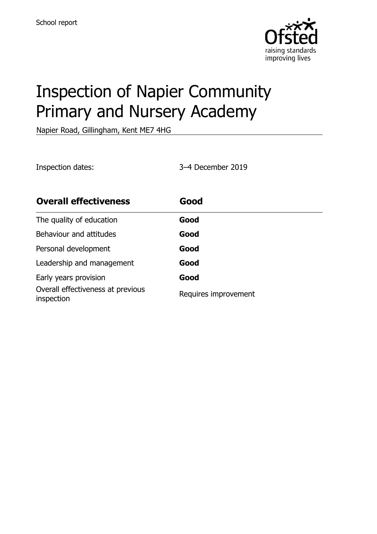

# Inspection of Napier Community Primary and Nursery Academy

Napier Road, Gillingham, Kent ME7 4HG

Inspection dates: 3–4 December 2019

| <b>Overall effectiveness</b>                    | Good                 |
|-------------------------------------------------|----------------------|
| The quality of education                        | Good                 |
| Behaviour and attitudes                         | Good                 |
| Personal development                            | Good                 |
| Leadership and management                       | Good                 |
| Early years provision                           | Good                 |
| Overall effectiveness at previous<br>inspection | Requires improvement |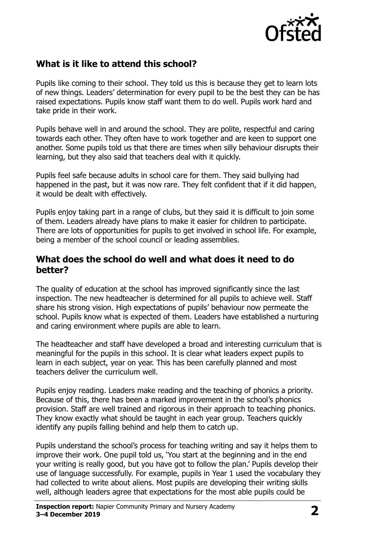

### **What is it like to attend this school?**

Pupils like coming to their school. They told us this is because they get to learn lots of new things. Leaders' determination for every pupil to be the best they can be has raised expectations. Pupils know staff want them to do well. Pupils work hard and take pride in their work.

Pupils behave well in and around the school. They are polite, respectful and caring towards each other. They often have to work together and are keen to support one another. Some pupils told us that there are times when silly behaviour disrupts their learning, but they also said that teachers deal with it quickly.

Pupils feel safe because adults in school care for them. They said bullying had happened in the past, but it was now rare. They felt confident that if it did happen, it would be dealt with effectively.

Pupils enjoy taking part in a range of clubs, but they said it is difficult to join some of them. Leaders already have plans to make it easier for children to participate. There are lots of opportunities for pupils to get involved in school life. For example, being a member of the school council or leading assemblies.

#### **What does the school do well and what does it need to do better?**

The quality of education at the school has improved significantly since the last inspection. The new headteacher is determined for all pupils to achieve well. Staff share his strong vision. High expectations of pupils' behaviour now permeate the school. Pupils know what is expected of them. Leaders have established a nurturing and caring environment where pupils are able to learn.

The headteacher and staff have developed a broad and interesting curriculum that is meaningful for the pupils in this school. It is clear what leaders expect pupils to learn in each subject, year on year. This has been carefully planned and most teachers deliver the curriculum well.

Pupils enjoy reading. Leaders make reading and the teaching of phonics a priority. Because of this, there has been a marked improvement in the school's phonics provision. Staff are well trained and rigorous in their approach to teaching phonics. They know exactly what should be taught in each year group. Teachers quickly identify any pupils falling behind and help them to catch up.

Pupils understand the school's process for teaching writing and say it helps them to improve their work. One pupil told us, 'You start at the beginning and in the end your writing is really good, but you have got to follow the plan.' Pupils develop their use of language successfully. For example, pupils in Year 1 used the vocabulary they had collected to write about aliens. Most pupils are developing their writing skills well, although leaders agree that expectations for the most able pupils could be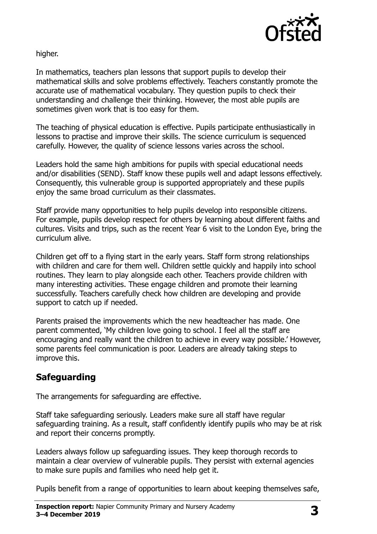

higher.

In mathematics, teachers plan lessons that support pupils to develop their mathematical skills and solve problems effectively. Teachers constantly promote the accurate use of mathematical vocabulary. They question pupils to check their understanding and challenge their thinking. However, the most able pupils are sometimes given work that is too easy for them.

The teaching of physical education is effective. Pupils participate enthusiastically in lessons to practise and improve their skills. The science curriculum is sequenced carefully. However, the quality of science lessons varies across the school.

Leaders hold the same high ambitions for pupils with special educational needs and/or disabilities (SEND). Staff know these pupils well and adapt lessons effectively. Consequently, this vulnerable group is supported appropriately and these pupils enjoy the same broad curriculum as their classmates.

Staff provide many opportunities to help pupils develop into responsible citizens. For example, pupils develop respect for others by learning about different faiths and cultures. Visits and trips, such as the recent Year 6 visit to the London Eye, bring the curriculum alive.

Children get off to a flying start in the early years. Staff form strong relationships with children and care for them well. Children settle quickly and happily into school routines. They learn to play alongside each other. Teachers provide children with many interesting activities. These engage children and promote their learning successfully. Teachers carefully check how children are developing and provide support to catch up if needed.

Parents praised the improvements which the new headteacher has made. One parent commented, 'My children love going to school. I feel all the staff are encouraging and really want the children to achieve in every way possible.' However, some parents feel communication is poor. Leaders are already taking steps to improve this.

# **Safeguarding**

The arrangements for safeguarding are effective.

Staff take safeguarding seriously. Leaders make sure all staff have regular safeguarding training. As a result, staff confidently identify pupils who may be at risk and report their concerns promptly.

Leaders always follow up safeguarding issues. They keep thorough records to maintain a clear overview of vulnerable pupils. They persist with external agencies to make sure pupils and families who need help get it.

Pupils benefit from a range of opportunities to learn about keeping themselves safe,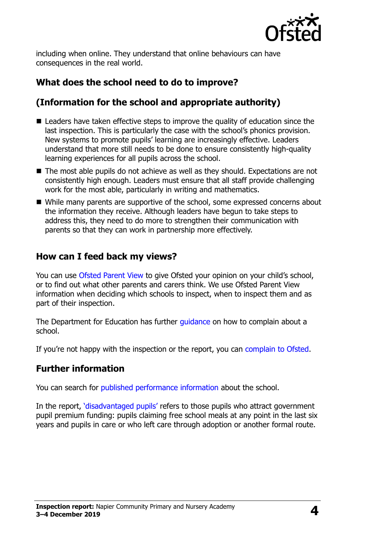

including when online. They understand that online behaviours can have consequences in the real world.

# **What does the school need to do to improve?**

## **(Information for the school and appropriate authority)**

- Leaders have taken effective steps to improve the quality of education since the last inspection. This is particularly the case with the school's phonics provision. New systems to promote pupils' learning are increasingly effective. Leaders understand that more still needs to be done to ensure consistently high-quality learning experiences for all pupils across the school.
- The most able pupils do not achieve as well as they should. Expectations are not consistently high enough. Leaders must ensure that all staff provide challenging work for the most able, particularly in writing and mathematics.
- While many parents are supportive of the school, some expressed concerns about the information they receive. Although leaders have begun to take steps to address this, they need to do more to strengthen their communication with parents so that they can work in partnership more effectively.

#### **How can I feed back my views?**

You can use [Ofsted Parent View](http://parentview.ofsted.gov.uk/) to give Ofsted your opinion on your child's school, or to find out what other parents and carers think. We use Ofsted Parent View information when deciding which schools to inspect, when to inspect them and as part of their inspection.

The Department for Education has further quidance on how to complain about a school.

If you're not happy with the inspection or the report, you can [complain to Ofsted.](http://www.gov.uk/complain-ofsted-report)

### **Further information**

You can search for [published performance information](http://www.compare-school-performance.service.gov.uk/) about the school.

In the report, '[disadvantaged pupils](http://www.gov.uk/guidance/pupil-premium-information-for-schools-and-alternative-provision-settings)' refers to those pupils who attract government pupil premium funding: pupils claiming free school meals at any point in the last six years and pupils in care or who left care through adoption or another formal route.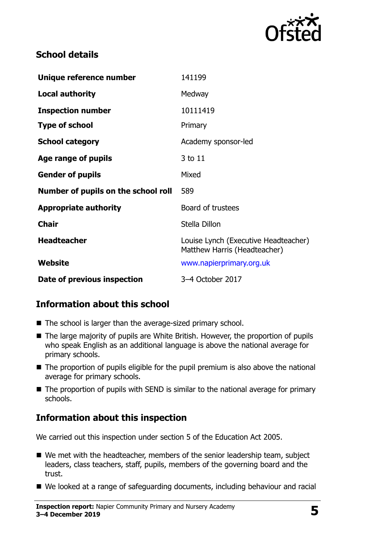

#### **School details**

| Unique reference number             | 141199                                                               |
|-------------------------------------|----------------------------------------------------------------------|
| <b>Local authority</b>              | Medway                                                               |
| <b>Inspection number</b>            | 10111419                                                             |
| <b>Type of school</b>               | Primary                                                              |
| <b>School category</b>              | Academy sponsor-led                                                  |
| Age range of pupils                 | 3 to 11                                                              |
| <b>Gender of pupils</b>             | Mixed                                                                |
| Number of pupils on the school roll | 589                                                                  |
| <b>Appropriate authority</b>        | Board of trustees                                                    |
| <b>Chair</b>                        | Stella Dillon                                                        |
| <b>Headteacher</b>                  | Louise Lynch (Executive Headteacher)<br>Matthew Harris (Headteacher) |
| Website                             | www.napierprimary.org.uk                                             |
| Date of previous inspection         | 3-4 October 2017                                                     |

### **Information about this school**

- The school is larger than the average-sized primary school.
- The large majority of pupils are White British. However, the proportion of pupils who speak English as an additional language is above the national average for primary schools.
- $\blacksquare$  The proportion of pupils eligible for the pupil premium is also above the national average for primary schools.
- The proportion of pupils with SEND is similar to the national average for primary schools.

### **Information about this inspection**

We carried out this inspection under section 5 of the Education Act 2005.

- We met with the headteacher, members of the senior leadership team, subject leaders, class teachers, staff, pupils, members of the governing board and the trust.
- We looked at a range of safeguarding documents, including behaviour and racial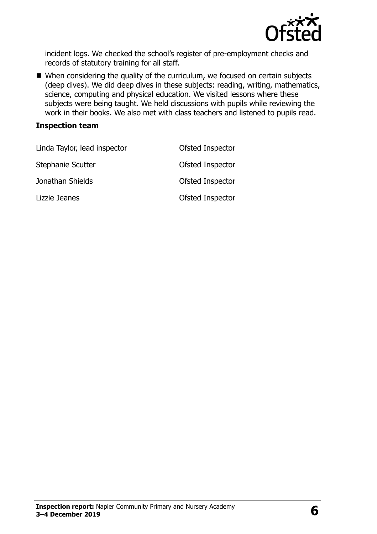

incident logs. We checked the school's register of pre-employment checks and records of statutory training for all staff.

■ When considering the quality of the curriculum, we focused on certain subjects (deep dives). We did deep dives in these subjects: reading, writing, mathematics, science, computing and physical education. We visited lessons where these subjects were being taught. We held discussions with pupils while reviewing the work in their books. We also met with class teachers and listened to pupils read.

#### **Inspection team**

| Linda Taylor, lead inspector | Ofsted Inspector |
|------------------------------|------------------|
| Stephanie Scutter            | Ofsted Inspector |
| Jonathan Shields             | Ofsted Inspector |
| Lizzie Jeanes                | Ofsted Inspector |